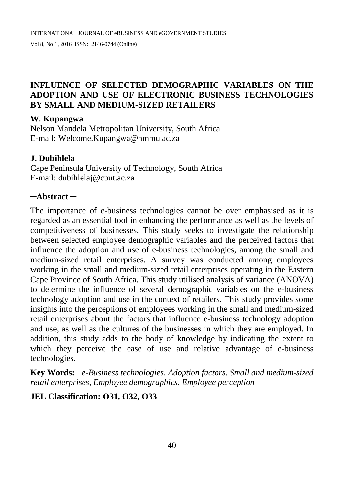# **INFLUENCE OF SELECTED DEMOGRAPHIC VARIABLES ON THE ADOPTION AND USE OF ELECTRONIC BUSINESS TECHNOLOGIES BY SMALL AND MEDIUM-SIZED RETAILERS**

#### **W. Kupangwa**

Nelson Mandela Metropolitan University, South Africa E-mail: [Welcome.Kupangwa@nmmu.ac.za](mailto:Welcome.Kupangwa@nmmu.ac.za)

### **J. Dubihlela**

Cape Peninsula University of Technology, South Africa E-mail: [dubihlelaj@cput.ac.za](mailto:dubihlelaj@cput.ac.za)

### **─Abstract ─**

The importance of e-business technologies cannot be over emphasised as it is regarded as an essential tool in enhancing the performance as well as the levels of competitiveness of businesses. This study seeks to investigate the relationship between selected employee demographic variables and the perceived factors that influence the adoption and use of e-business technologies, among the small and medium-sized retail enterprises. A survey was conducted among employees working in the small and medium-sized retail enterprises operating in the Eastern Cape Province of South Africa. This study utilised analysis of variance (ANOVA) to determine the influence of several demographic variables on the e-business technology adoption and use in the context of retailers. This study provides some insights into the perceptions of employees working in the small and medium-sized retail enterprises about the factors that influence e-business technology adoption and use, as well as the cultures of the businesses in which they are employed. In addition, this study adds to the body of knowledge by indicating the extent to which they perceive the ease of use and relative advantage of e-business technologies.

**Key Words:** *e-Business technologies, Adoption factors, Small and medium-sized retail enterprises, Employee demographics, Employee perception*

# **JEL Classification: O31, O32, O33**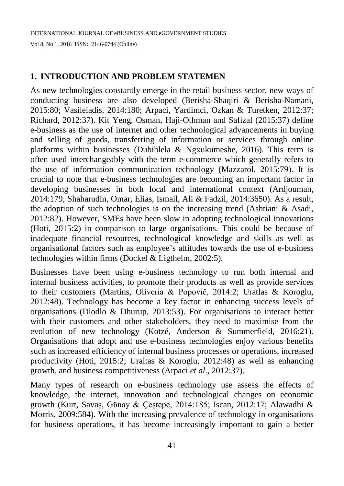# **1. INTRODUCTION AND PROBLEM STATEMEN**

As new technologies constantly emerge in the retail business sector, new ways of conducting business are also developed (Berisha-Shaqiri & Berisha-Namani, 2015:80; Vasileiadis, 2014:180; Arpaci, Yardimci, Ozkan & Turetken, 2012:37; Richard, 2012:37). Kit Yeng, Osman, Haji-Othman and Safizal (2015:37) define e-business as the use of internet and other technological advancements in buying and selling of goods, transferring of information or services through online platforms within businesses (Dubihlela & Ngxukumeshe, 2016). This term is often used interchangeably with the term e-commerce which generally refers to the use of information communication technology (Mazzarol, 2015:79). It is crucial to note that e-business technologies are becoming an important factor in developing businesses in both local and international context (Ardjouman, 2014:179; Shaharudin, Omar, Elias, Ismail, Ali & Fadzil, 2014:3650). As a result, the adoption of such technologies is on the increasing trend (Ashtiani & Asadi, 2012:82). However, SMEs have been slow in adopting technological innovations (Hoti, 2015:2) in comparison to large organisations. This could be because of inadequate financial resources, technological knowledge and skills as well as organisational factors such as employee's attitudes towards the use of e-business technologies within firms (Dockel & Ligthelm, 2002:5).

Businesses have been using e-business technology to run both internal and internal business activities, to promote their products as well as provide services to their customers (Martins, Oliveria & Popovič, 2014:2; Uratlas & Koroglu, 2012:48). Technology has become a key factor in enhancing success levels of organisations (Dlodlo & Dhurup, 2013:53). For organisations to interact better with their customers and other stakeholders, they need to maximise from the evolution of new technology (Kotzé, Anderson & Summerfield, 2016:21). Organisations that adopt and use e-business technologies enjoy various benefits such as increased efficiency of internal business processes or operations, increased productivity (Hoti, 2015:2; Uraltas & Koroglu, 2012:48) as well as enhancing growth, and business competitiveness (Arpaci *et al*., 2012:37).

Many types of research on e-business technology use assess the effects of knowledge, the internet, innovation and technological changes on economic growth (Kurt, Savaş, Gϋnay & Ҫeştepe, 2014:185; Iscan, 2012:17; Alawadhi & Morris, 2009:584). With the increasing prevalence of technology in organisations for business operations, it has become increasingly important to gain a better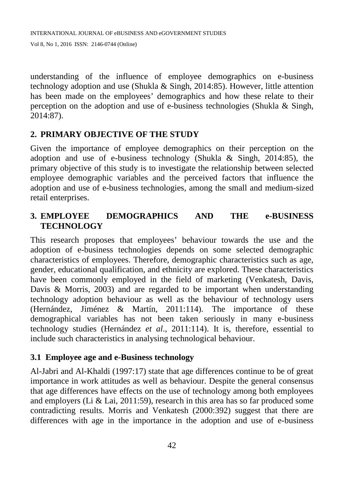understanding of the influence of employee demographics on e-business technology adoption and use (Shukla & Singh, 2014:85). However, little attention has been made on the employees' demographics and how these relate to their perception on the adoption and use of e-business technologies (Shukla & Singh, 2014:87).

# **2. PRIMARY OBJECTIVE OF THE STUDY**

Given the importance of employee demographics on their perception on the adoption and use of e-business technology (Shukla & Singh, 2014:85), the primary objective of this study is to investigate the relationship between selected employee demographic variables and the perceived factors that influence the adoption and use of e-business technologies, among the small and medium-sized retail enterprises.

# **3. EMPLOYEE DEMOGRAPHICS AND THE e-BUSINESS TECHNOLOGY**

This research proposes that employees' behaviour towards the use and the adoption of e-business technologies depends on some selected demographic characteristics of employees. Therefore, demographic characteristics such as age, gender, educational qualification, and ethnicity are explored. These characteristics have been commonly employed in the field of marketing (Venkatesh, Davis, Davis & Morris, 2003) and are regarded to be important when understanding technology adoption behaviour as well as the behaviour of technology users (Hernández, Jiménez & Martín, 2011:114). The importance of these demographical variables has not been taken seriously in many e-business technology studies (Hernández *et al*., 2011:114). It is, therefore, essential to include such characteristics in analysing technological behaviour.

# **3.1 Employee age and e-Business technology**

Al-Jabri and Al-Khaldi (1997:17) state that age differences continue to be of great importance in work attitudes as well as behaviour. Despite the general consensus that age differences have effects on the use of technology among both employees and employers (Li & Lai, 2011:59), research in this area has so far produced some contradicting results. Morris and Venkatesh (2000:392) suggest that there are differences with age in the importance in the adoption and use of e-business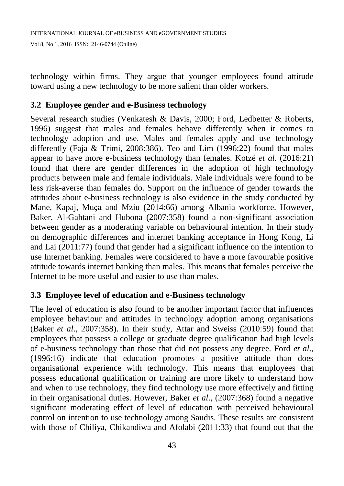technology within firms. They argue that younger employees found attitude toward using a new technology to be more salient than older workers.

### **3.2 Employee gender and e-Business technology**

Several research studies (Venkatesh & Davis, 2000; Ford, Ledbetter & Roberts, 1996) suggest that males and females behave differently when it comes to technology adoption and use. Males and females apply and use technology differently (Faja & Trimi, 2008:386). Teo and Lim (1996:22) found that males appear to have more e-business technology than females. Kotzé *et al*. (2016:21) found that there are gender differences in the adoption of high technology products between male and female individuals. Male individuals were found to be less risk-averse than females do. Support on the influence of gender towards the attitudes about e-business technology is also evidence in the study conducted by Mane, Kapaj, Muça and Mziu (2014:66) among Albania workforce. However, Baker, Al-Gahtani and Hubona (2007:358) found a non-significant association between gender as a moderating variable on behavioural intention. In their study on demographic differences and internet banking acceptance in Hong Kong, Li and Lai (2011:77) found that gender had a significant influence on the intention to use Internet banking. Females were considered to have a more favourable positive attitude towards internet banking than males. This means that females perceive the Internet to be more useful and easier to use than males.

# **3.3 Employee level of education and e-Business technology**

The level of education is also found to be another important factor that influences employee behaviour and attitudes in technology adoption among organisations (Baker *et al*., 2007:358). In their study, Attar and Sweiss (2010:59) found that employees that possess a college or graduate degree qualification had high levels of e-business technology than those that did not possess any degree. Ford *et al*., (1996:16) indicate that education promotes a positive attitude than does organisational experience with technology. This means that employees that possess educational qualification or training are more likely to understand how and when to use technology, they find technology use more effectively and fitting in their organisational duties. However, Baker *et al*., (2007:368) found a negative significant moderating effect of level of education with perceived behavioural control on intention to use technology among Saudis. These results are consistent with those of Chiliya, Chikandiwa and Afolabi (2011:33) that found out that the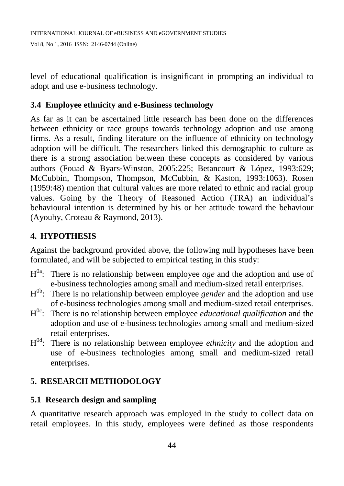level of educational qualification is insignificant in prompting an individual to adopt and use e-business technology.

# **3.4 Employee ethnicity and e-Business technology**

As far as it can be ascertained little research has been done on the differences between ethnicity or race groups towards technology adoption and use among firms. As a result, finding literature on the influence of ethnicity on technology adoption will be difficult. The researchers linked this demographic to culture as there is a strong association between these concepts as considered by various authors (Fouad & Byars‐Winston, 2005:225; Betancourt & López, 1993:629; McCubbin, Thompson, Thompson, McCubbin, & Kaston, 1993:1063). Rosen (1959:48) mention that cultural values are more related to ethnic and racial group values. Going by the Theory of Reasoned Action (TRA) an individual's behavioural intention is determined by his or her attitude toward the behaviour (Ayouby, Croteau & Raymond, 2013).

# **4. HYPOTHESIS**

Against the background provided above, the following null hypotheses have been formulated, and will be subjected to empirical testing in this study:

- H<sup>0a</sup>: There is no relationship between employee *age* and the adoption and use of e-business technologies among small and medium-sized retail enterprises.
- H<sup>0b</sup>: There is no relationship between employee *gender* and the adoption and use of e-business technologies among small and medium-sized retail enterprises.
- H<sup>0c</sup>: There is no relationship between employee *educational qualification* and the adoption and use of e-business technologies among small and medium-sized retail enterprises.
- H0d: There is no relationship between employee *ethnicity* and the adoption and use of e-business technologies among small and medium-sized retail enterprises.

# **5. RESEARCH METHODOLOGY**

# **5.1 Research design and sampling**

A quantitative research approach was employed in the study to collect data on retail employees. In this study, employees were defined as those respondents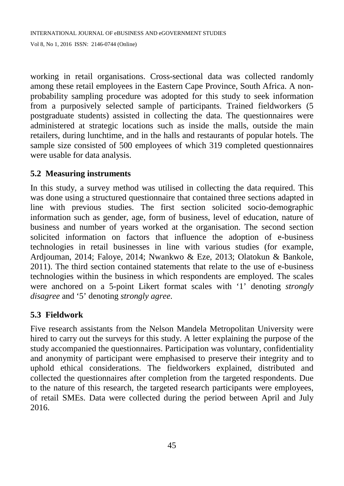working in retail organisations. Cross-sectional data was collected randomly among these retail employees in the Eastern Cape Province, South Africa. A nonprobability sampling procedure was adopted for this study to seek information from a purposively selected sample of participants. Trained fieldworkers (5 postgraduate students) assisted in collecting the data. The questionnaires were administered at strategic locations such as inside the malls, outside the main retailers, during lunchtime, and in the halls and restaurants of popular hotels. The sample size consisted of 500 employees of which 319 completed questionnaires were usable for data analysis.

# **5.2 Measuring instruments**

In this study, a survey method was utilised in collecting the data required. This was done using a structured questionnaire that contained three sections adapted in line with previous studies. The first section solicited socio-demographic information such as gender, age, form of business, level of education, nature of business and number of years worked at the organisation. The second section solicited information on factors that influence the adoption of e-business technologies in retail businesses in line with various studies (for example, Ardjouman, 2014; Faloye, 2014; Nwankwo & Eze, 2013; Olatokun & Bankole, 2011). The third section contained statements that relate to the use of e-business technologies within the business in which respondents are employed. The scales were anchored on a 5-point Likert format scales with '1' denoting *strongly disagree* and '5' denoting *strongly agree*.

# **5.3 Fieldwork**

Five research assistants from the Nelson Mandela Metropolitan University were hired to carry out the surveys for this study. A letter explaining the purpose of the study accompanied the questionnaires. Participation was voluntary, confidentiality and anonymity of participant were emphasised to preserve their integrity and to uphold ethical considerations. The fieldworkers explained, distributed and collected the questionnaires after completion from the targeted respondents. Due to the nature of this research, the targeted research participants were employees, of retail SMEs. Data were collected during the period between April and July 2016.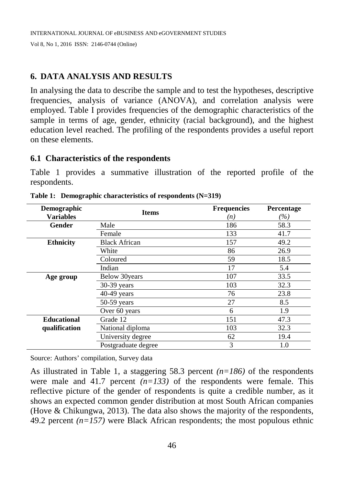### **6. DATA ANALYSIS AND RESULTS**

In analysing the data to describe the sample and to test the hypotheses, descriptive frequencies, analysis of variance (ANOVA), and correlation analysis were employed. Table I provides frequencies of the demographic characteristics of the sample in terms of age, gender, ethnicity (racial background), and the highest education level reached. The profiling of the respondents provides a useful report on these elements.

#### **6.1 Characteristics of the respondents**

Table 1 provides a summative illustration of the reported profile of the respondents.

| Demographic        | <b>Items</b>         | <b>Frequencies</b> | Percentage |
|--------------------|----------------------|--------------------|------------|
| <b>Variables</b>   |                      | (n)                | $(\%)$     |
| <b>Gender</b>      | Male                 | 186                | 58.3       |
|                    | Female               | 133                | 41.7       |
| <b>Ethnicity</b>   | <b>Black African</b> | 157                | 49.2       |
|                    | White                | 86                 | 26.9       |
|                    | Coloured             | 59                 | 18.5       |
|                    | Indian               | 17                 | 5.4        |
| Age group          | Below 30 years       | 107                | 33.5       |
|                    | 30-39 years          | 103                | 32.3       |
|                    | 40-49 years          | 76                 | 23.8       |
|                    | $50-59$ years        | 27                 | 8.5        |
|                    | Over 60 years        | 6                  | 1.9        |
| <b>Educational</b> | Grade 12             | 151                | 47.3       |
| qualification      | National diploma     | 103                | 32.3       |
|                    | University degree    | 62                 | 19.4       |
|                    | Postgraduate degree  | 3                  | 1.0        |

**Table 1: Demographic characteristics of respondents (N=319)**

Source: Authors' compilation, Survey data

As illustrated in Table 1, a staggering 58.3 percent *(n=186)* of the respondents were male and 41.7 percent  $(n=133)$  of the respondents were female. This reflective picture of the gender of respondents is quite a credible number, as it shows an expected common gender distribution at most South African companies (Hove & Chikungwa, 2013). The data also shows the majority of the respondents, 49.2 percent *(n=157)* were Black African respondents; the most populous ethnic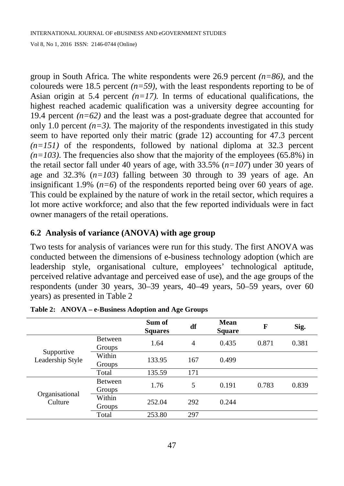group in South Africa. The white respondents were 26.9 percent *(n=86)*, and the coloureds were 18.5 percent  $(n=59)$ , with the least respondents reporting to be of Asian origin at 5.4 percent  $(n=17)$ . In terms of educational qualifications, the highest reached academic qualification was a university degree accounting for 19.4 percent  $(n=62)$  and the least was a post-graduate degree that accounted for only 1.0 percent  $(n=3)$ . The majority of the respondents investigated in this study seem to have reported only their matric (grade 12) accounting for 47.3 percent  $(n=151)$  of the respondents, followed by national diploma at 32.3 percent  $(n=103)$ . The frequencies also show that the majority of the employees (65.8%) in the retail sector fall under 40 years of age, with 33.5% (*n=107*) under 30 years of age and 32.3% (*n=103*) falling between 30 through to 39 years of age. An insignificant 1.9%  $(n=6)$  of the respondents reported being over 60 years of age. This could be explained by the nature of work in the retail sector, which requires a lot more active workforce; and also that the few reported individuals were in fact owner managers of the retail operations.

### **6.2 Analysis of variance (ANOVA) with age group**

Two tests for analysis of variances were run for this study. The first ANOVA was conducted between the dimensions of e-business technology adoption (which are leadership style, organisational culture, employees' technological aptitude, perceived relative advantage and perceived ease of use), and the age groups of the respondents (under 30 years, 30–39 years, 40–49 years, 50–59 years, over 60 years) as presented in Table 2

|                                |                          | Sum of<br><b>Squares</b> | df  | <b>Mean</b><br><b>Square</b> | F     | Sig.  |
|--------------------------------|--------------------------|--------------------------|-----|------------------------------|-------|-------|
| Supportive<br>Leadership Style | <b>Between</b><br>Groups | 1.64                     | 4   | 0.435                        | 0.871 | 0.381 |
|                                | Within<br>Groups         | 133.95                   | 167 | 0.499                        |       |       |
|                                | Total                    | 135.59                   | 171 |                              |       |       |
| Organisational<br>Culture      | <b>Between</b><br>Groups | 1.76                     | 5   | 0.191                        | 0.783 | 0.839 |
|                                | Within<br>Groups         | 252.04                   | 292 | 0.244                        |       |       |
|                                | Total                    | 253.80                   | 297 |                              |       |       |

|  |  | Table 2: ANOVA – e-Business Adoption and Age Groups |  |  |  |
|--|--|-----------------------------------------------------|--|--|--|
|--|--|-----------------------------------------------------|--|--|--|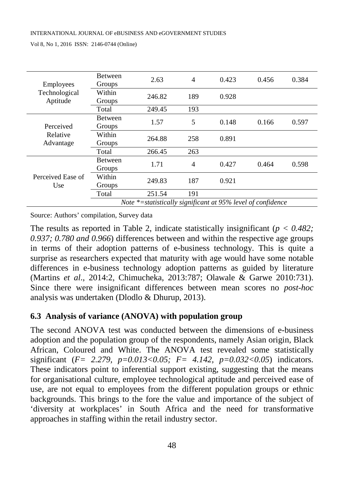| Employees<br>Technological<br>Aptitude | <b>Between</b><br>Groups | 2.63                                                           | 4   | 0.423 | 0.456 | 0.384 |
|----------------------------------------|--------------------------|----------------------------------------------------------------|-----|-------|-------|-------|
|                                        | Within<br>Groups         | 246.82                                                         | 189 | 0.928 |       |       |
|                                        | Total                    | 249.45                                                         | 193 |       |       |       |
| Perceived<br>Relative<br>Advantage     | <b>Between</b><br>Groups | 1.57                                                           | 5   | 0.148 | 0.166 | 0.597 |
|                                        | Within<br>Groups         | 264.88                                                         | 258 | 0.891 |       |       |
|                                        | Total                    | 266.45                                                         | 263 |       |       |       |
|                                        | <b>Between</b><br>Groups | 1.71                                                           | 4   | 0.427 | 0.464 | 0.598 |
| Perceived Ease of<br>Use               | Within<br>Groups         | 249.83                                                         | 187 | 0.921 |       |       |
|                                        | Total                    | 251.54                                                         | 191 |       |       |       |
|                                        |                          | Note $*$ =statistically significant at 95% level of confidence |     |       |       |       |

Source: Authors' compilation, Survey data

The results as reported in Table 2, indicate statistically insignificant ( $p < 0.482$ ; *0.937; 0.780 and 0.966*) differences between and within the respective age groups in terms of their adoption patterns of e-business technology. This is quite a surprise as researchers expected that maturity with age would have some notable differences in e-business technology adoption patterns as guided by literature (Martins *et al*., 2014:2, Chimucheka, 2013:787; Olawale & Garwe 2010:731). Since there were insignificant differences between mean scores no *post-hoc* analysis was undertaken (Dlodlo & Dhurup, 2013).

### **6.3 Analysis of variance (ANOVA) with population group**

The second ANOVA test was conducted between the dimensions of e-business adoption and the population group of the respondents, namely Asian origin, Black African, Coloured and White. The ANOVA test revealed some statistically significant (*F= 2.279, p=0.013<0.05; F= 4.142, p=0.032<0.05*) indicators. These indicators point to inferential support existing, suggesting that the means for organisational culture, employee technological aptitude and perceived ease of use, are not equal to employees from the different population groups or ethnic backgrounds. This brings to the fore the value and importance of the subject of 'diversity at workplaces' in South Africa and the need for transformative approaches in staffing within the retail industry sector.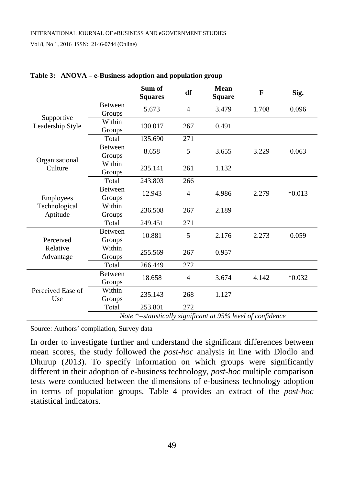|                                        |                          | Sum of<br><b>Squares</b> | df             | Mean<br><b>Square</b>                                        | F     | Sig.     |
|----------------------------------------|--------------------------|--------------------------|----------------|--------------------------------------------------------------|-------|----------|
|                                        | <b>Between</b><br>Groups | 5.673                    | $\overline{4}$ | 3.479                                                        | 1.708 | 0.096    |
| Supportive<br>Leadership Style         | Within<br>Groups         | 130.017                  | 267            | 0.491                                                        |       |          |
|                                        | Total                    | 135.690                  | 271            |                                                              |       |          |
|                                        | <b>Between</b><br>Groups | 8.658                    | 5              | 3.655                                                        | 3.229 | 0.063    |
| Organisational<br>Culture              | Within<br>Groups         | 235.141                  | 261            | 1.132                                                        |       |          |
|                                        | Total                    | 243.803                  | 266            |                                                              |       |          |
| Employees<br>Technological<br>Aptitude | <b>Between</b><br>Groups | 12.943                   | 4              | 4.986                                                        | 2.279 | $*0.013$ |
|                                        | Within<br>Groups         | 236.508                  | 267            | 2.189                                                        |       |          |
|                                        | Total                    | 249.451                  | 271            |                                                              |       |          |
| Perceived<br>Relative<br>Advantage     | <b>Between</b><br>Groups | 10.881                   | 5              | 2.176                                                        | 2.273 | 0.059    |
|                                        | Within<br>Groups         | 255.569                  | 267            | 0.957                                                        |       |          |
|                                        | Total                    | 266.449                  | 272            |                                                              |       |          |
| Perceived Ease of<br>Use               | <b>Between</b><br>Groups | 18.658                   | 4              | 3.674                                                        | 4.142 | $*0.032$ |
|                                        | Within<br>Groups         | 235.143                  | 268            | 1.127                                                        |       |          |
|                                        | Total                    | 253.801                  | 272            |                                                              |       |          |
|                                        |                          |                          |                | Note *= statistically significant at 95% level of confidence |       |          |

#### **Table 3: ANOVA – e-Business adoption and population group**

Source: Authors' compilation, Survey data

In order to investigate further and understand the significant differences between mean scores, the study followed the *post-hoc* analysis in line with Dlodlo and Dhurup (2013). To specify information on which groups were significantly different in their adoption of e-business technology, *post-hoc* multiple comparison tests were conducted between the dimensions of e-business technology adoption in terms of population groups. Table 4 provides an extract of the *post-hoc* statistical indicators.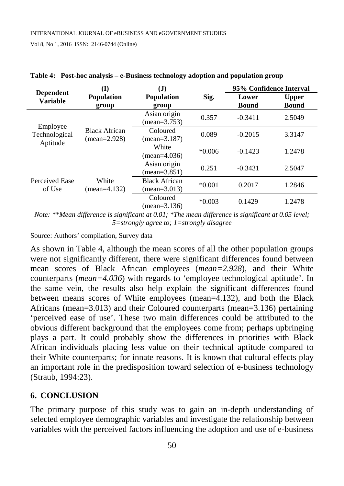|                                                                                                    | $\mathbf{J}$<br>(I)     |                                          |               | 95% Confidence Interval |              |
|----------------------------------------------------------------------------------------------------|-------------------------|------------------------------------------|---------------|-------------------------|--------------|
| <b>Dependent</b><br><b>Variable</b>                                                                | <b>Population</b>       | <b>Population</b>                        | Sig.<br>group |                         | <b>Upper</b> |
|                                                                                                    | group                   |                                          |               |                         | <b>Bound</b> |
|                                                                                                    |                         | Asian origin                             | 0.357         | $-0.3411$               | 2.5049       |
| Employee                                                                                           |                         | $(mean = 3.753)$                         |               |                         |              |
| Technological                                                                                      | <b>Black African</b>    | Coloured                                 | 0.089         | $-0.2015$               | 3.3147       |
| Aptitude                                                                                           | $(mean=2.928)$          | $(mean=3.187)$                           |               |                         |              |
|                                                                                                    |                         | White                                    | $*0.006$      | $-0.1423$               | 1.2478       |
|                                                                                                    |                         | $(mean=4.036)$                           |               |                         |              |
|                                                                                                    | White<br>$(mean=4.132)$ | Asian origin                             | 0.251         | $-0.3431$               | 2.5047       |
| Perceived Ease<br>of Use                                                                           |                         | $(mean=3.851)$                           |               |                         |              |
|                                                                                                    |                         | <b>Black African</b>                     | $*0.001$      | 0.2017                  | 1.2846       |
|                                                                                                    |                         | $(mean = 3.013)$                         |               |                         |              |
|                                                                                                    |                         | Coloured                                 | $*0.003$      | 0.1429                  | 1.2478       |
| $(mean=3.136)$                                                                                     |                         |                                          |               |                         |              |
| Note: **Mean difference is significant at 0.01; *The mean difference is significant at 0.05 level; |                         |                                          |               |                         |              |
|                                                                                                    |                         | 5=strongly agree to; 1=strongly disagree |               |                         |              |

|  | Table 4: Post-hoc analysis - e-Business technology adoption and population group |  |  |  |
|--|----------------------------------------------------------------------------------|--|--|--|
|--|----------------------------------------------------------------------------------|--|--|--|

Source: Authors' compilation, Survey data

As shown in Table 4, although the mean scores of all the other population groups were not significantly different, there were significant differences found between mean scores of Black African employees (*mean=2.928*), and their White counterparts (*mean=4.036*) with regards to 'employee technological aptitude'. In the same vein, the results also help explain the significant differences found between means scores of White employees (mean=4.132), and both the Black Africans (mean=3.013) and their Coloured counterparts (mean=3.136) pertaining 'perceived ease of use'. These two main differences could be attributed to the obvious different background that the employees come from; perhaps upbringing plays a part. It could probably show the differences in priorities with Black African individuals placing less value on their technical aptitude compared to their White counterparts; for innate reasons. It is known that cultural effects play an important role in the predisposition toward selection of e-business technology (Straub, 1994:23).

# **6. CONCLUSION**

The primary purpose of this study was to gain an in-depth understanding of selected employee demographic variables and investigate the relationship between variables with the perceived factors influencing the adoption and use of e-business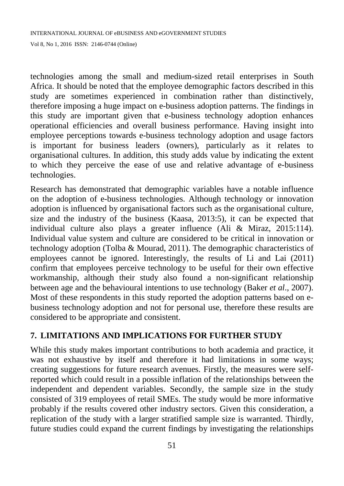technologies among the small and medium-sized retail enterprises in South Africa. It should be noted that the employee demographic factors described in this study are sometimes experienced in combination rather than distinctively, therefore imposing a huge impact on e-business adoption patterns. The findings in this study are important given that e-business technology adoption enhances operational efficiencies and overall business performance. Having insight into employee perceptions towards e-business technology adoption and usage factors is important for business leaders (owners), particularly as it relates to organisational cultures. In addition, this study adds value by indicating the extent to which they perceive the ease of use and relative advantage of e-business technologies.

Research has demonstrated that demographic variables have a notable influence on the adoption of e-business technologies. Although technology or innovation adoption is influenced by organisational factors such as the organisational culture, size and the industry of the business (Kaasa, 2013:5), it can be expected that individual culture also plays a greater influence (Ali & Miraz, 2015:114). Individual value system and culture are considered to be critical in innovation or technology adoption (Tolba & Mourad, 2011). The demographic characteristics of employees cannot be ignored. Interestingly, the results of Li and Lai (2011) confirm that employees perceive technology to be useful for their own effective workmanship, although their study also found a non-significant relationship between age and the behavioural intentions to use technology (Baker *et al*., 2007). Most of these respondents in this study reported the adoption patterns based on ebusiness technology adoption and not for personal use, therefore these results are considered to be appropriate and consistent.

# **7. LIMITATIONS AND IMPLICATIONS FOR FURTHER STUDY**

While this study makes important contributions to both academia and practice, it was not exhaustive by itself and therefore it had limitations in some ways; creating suggestions for future research avenues. Firstly, the measures were selfreported which could result in a possible inflation of the relationships between the independent and dependent variables. Secondly, the sample size in the study consisted of 319 employees of retail SMEs. The study would be more informative probably if the results covered other industry sectors. Given this consideration, a replication of the study with a larger stratified sample size is warranted. Thirdly, future studies could expand the current findings by investigating the relationships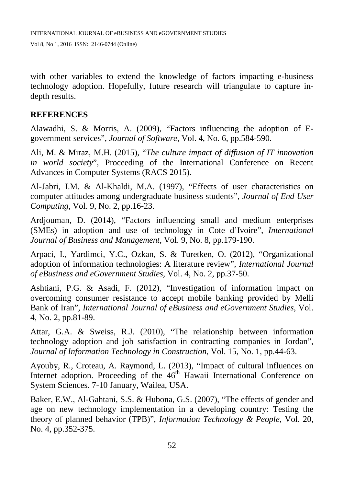with other variables to extend the knowledge of factors impacting e-business technology adoption. Hopefully, future research will triangulate to capture indepth results.

### **REFERENCES**

Alawadhi, S. & Morris, A. (2009), "Factors influencing the adoption of Egovernment services", *Journal of Software*, Vol. 4, No. 6, pp.584-590.

Ali, M. & Miraz, M.H. (2015), "*The culture impact of diffusion of IT innovation in world society*", Proceeding of the International Conference on Recent Advances in Computer Systems (RACS 2015).

Al-Jabri, I.M. & Al-Khaldi, M.A. (1997), "Effects of user characteristics on computer attitudes among undergraduate business students", *Journal of End User Computing*, Vol. 9, No. 2, pp.16-23.

Ardjouman, D. (2014), "Factors influencing small and medium enterprises (SMEs) in adoption and use of technology in Cote d'Ivoire", *International Journal of Business and Management*, Vol. 9, No. 8, pp.179-190.

Arpaci, I., Yardimci, Y.C., Ozkan, S. & Turetken, O. (2012), "Organizational adoption of information technologies: A literature review", *International Journal of eBusiness and eGovernment Studies*, Vol. 4, No. 2, pp.37-50.

Ashtiani, P.G. & Asadi, F. (2012), "Investigation of information impact on overcoming consumer resistance to accept mobile banking provided by Melli Bank of Iran", *International Journal of eBusiness and eGovernment Studies*, Vol. 4, No. 2, pp.81-89.

Attar, G.A. & Sweiss, R.J. (2010), "The relationship between information technology adoption and job satisfaction in contracting companies in Jordan", *Journal of Information Technology in Construction*, Vol. 15, No. 1, pp.44-63.

Ayouby, R., Croteau, A. Raymond, L. (2013), "Impact of cultural influences on Internet adoption. Proceeding of the 46<sup>th</sup> Hawaii International Conference on System Sciences. 7-10 January, Wailea, USA.

Baker, E.W., Al-Gahtani, S.S. & Hubona, G.S. (2007), "The effects of gender and age on new technology implementation in a developing country: Testing the theory of planned behavior (TPB)", *Information Technology & People*, Vol. 20, No. 4, pp.352-375.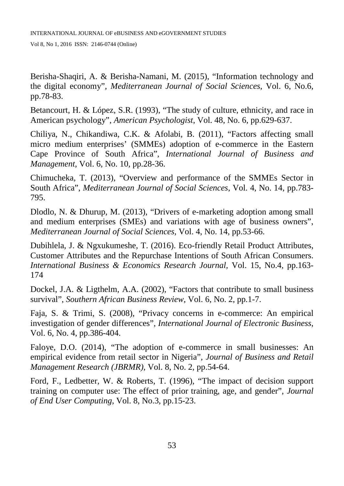Berisha-Shaqiri, A. & Berisha-Namani, M. (2015), "Information technology and the digital economy", *Mediterranean Journal of Social Sciences*, Vol. 6, No.6, pp.78-83.

Betancourt, H. & López, S.R. (1993), "The study of culture, ethnicity, and race in American psychology", *American Psychologist*, Vol. 48, No. 6, pp.629-637.

Chiliya, N., Chikandiwa, C.K. & Afolabi, B. (2011), "Factors affecting small micro medium enterprises' (SMMEs) adoption of e-commerce in the Eastern Cape Province of South Africa", *International Journal of Business and Management*, Vol. 6, No. 10, pp.28-36.

Chimucheka, T. (2013), "Overview and performance of the SMMEs Sector in South Africa", *Mediterranean Journal of Social Sciences*, Vol. 4, No. 14, pp.783- 795.

Dlodlo, N. & Dhurup, M. (2013), "Drivers of e-marketing adoption among small and medium enterprises (SMEs) and variations with age of business owners", *Mediterranean Journal of Social Sciences*, Vol. 4, No. 14, pp.53-66.

Dubihlela, J. & Ngxukumeshe, T. (2016). Eco-friendly Retail Product Attributes, Customer Attributes and the Repurchase Intentions of South African Consumers. *International Business & Economics Research Journal,* Vol. 15, No.4, pp.163- 174

Dockel, J.A. & Ligthelm, A.A. (2002), "Factors that contribute to small business survival", *Southern African Business Review*, Vol. 6, No. 2, pp.1-7.

Faja, S. & Trimi, S. (2008), "Privacy concerns in e-commerce: An empirical investigation of gender differences", *International Journal of Electronic Business*, Vol. 6, No. 4, pp.386-404.

Faloye, D.O. (2014), "The adoption of e-commerce in small businesses: An empirical evidence from retail sector in Nigeria", *Journal of Business and Retail Management Research (JBRMR)*, Vol. 8, No. 2, pp.54-64.

Ford, F., Ledbetter, W. & Roberts, T. (1996), "The impact of decision support training on computer use: The effect of prior training, age, and gender", *Journal of End User Computing*, Vol. 8, No.3, pp.15-23.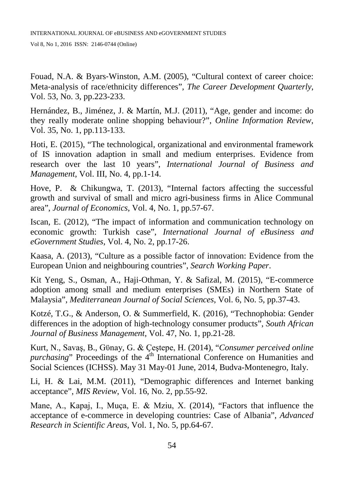Fouad, N.A. & Byars‐Winston, A.M. (2005), "Cultural context of career choice: Meta‐analysis of race/ethnicity differences", *The Career Development Quarterly*, Vol. 53, No. 3, pp.223-233.

Hernández, B., Jiménez, J. & Martín, M.J. (2011), "Age, gender and income: do they really moderate online shopping behaviour?", *Online Information Review*, Vol. 35, No. 1, pp.113-133.

Hoti, E. (2015), "The technological, organizational and environmental framework of IS innovation adaption in small and medium enterprises. Evidence from research over the last 10 years", *International Journal of Business and Management*, Vol. III, No. 4, pp.1-14.

Hove, P. & Chikungwa, T. (2013), "Internal factors affecting the successful growth and survival of small and micro agri-business firms in Alice Communal area", *Journal of Economics*, Vol. 4, No. 1, pp.57-67.

Iscan, E. (2012), "The impact of information and communication technology on economic growth: Turkish case", *International Journal of eBusiness and eGovernment Studies*, Vol. 4, No. 2, pp.17-26.

Kaasa, A. (2013), "Culture as a possible factor of innovation: Evidence from the European Union and neighbouring countries", *Search Working Paper*.

Kit Yeng, S., Osman, A., Haji-Othman, Y. & Safizal, M. (2015), "E-commerce adoption among small and medium enterprises (SMEs) in Northern State of Malaysia", *Mediterranean Journal of Social Sciences*, Vol. 6, No. 5, pp.37-43.

Kotzé, T.G., & Anderson, O. & Summerfield, K. (2016), "Technophobia: Gender differences in the adoption of high-technology consumer products", *South African Journal of Business Management*, Vol. 47, No. 1, pp.21-28.

Kurt, N., Savaş, B., Gϋnay, G. & Ҫeştepe, H. (2014), "*Consumer perceived online purchasing*" Proceedings of the 4<sup>th</sup> International Conference on Humanities and Social Sciences (ICHSS). May 31 May-01 June, 2014, Budva-Montenegro, Italy.

Li, H. & Lai, M.M. (2011), "Demographic differences and Internet banking acceptance", *MIS Review*, Vol. 16, No. 2, pp.55-92.

Mane, A., Kapaj, I., Muça, E. & Mziu, X. (2014), "Factors that influence the acceptance of e-commerce in developing countries: Case of Albania", *Advanced Research in Scientific Areas*, Vol. 1, No. 5, pp.64-67.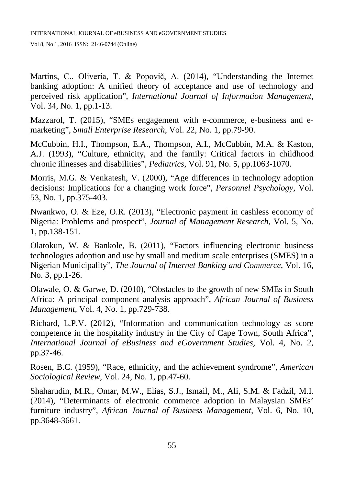Martins, C., Oliveria, T. & Popovič, A. (2014), "Understanding the Internet banking adoption: A unified theory of acceptance and use of technology and perceived risk application", *International Journal of Information Management*, Vol. 34, No. 1, pp.1-13.

Mazzarol, T. (2015), "SMEs engagement with e-commerce, e-business and emarketing", *Small Enterprise Research*, Vol. 22, No. 1, pp.79-90.

McCubbin, H.I., Thompson, E.A., Thompson, A.I., McCubbin, M.A. & Kaston, A.J. (1993), "Culture, ethnicity, and the family: Critical factors in childhood chronic illnesses and disabilities", *Pediatrics*, Vol. 91, No. 5, pp.1063-1070.

Morris, M.G. & Venkatesh, V. (2000), "Age differences in technology adoption decisions: Implications for a changing work force", *Personnel Psychology*, Vol. 53, No. 1, pp.375-403.

Nwankwo, O. & Eze, O.R. (2013), "Electronic payment in cashless economy of Nigeria: Problems and prospect", *Journal of Management Research*, Vol. 5, No. 1, pp.138-151.

Olatokun, W. & Bankole, B. (2011), "Factors influencing electronic business technologies adoption and use by small and medium scale enterprises (SMES) in a Nigerian Municipality", *The Journal of Internet Banking and Commerce*, Vol. 16, No. 3, pp.1-26.

Olawale, O. & Garwe, D. (2010), "Obstacles to the growth of new SMEs in South Africa: A principal component analysis approach", *African Journal of Business Management*, Vol. 4, No. 1, pp.729-738.

Richard, L.P.V. (2012), "Information and communication technology as score competence in the hospitality industry in the City of Cape Town, South Africa", *International Journal of eBusiness and eGovernment Studies*, Vol. 4, No. 2, pp.37-46.

Rosen, B.C. (1959), "Race, ethnicity, and the achievement syndrome", *American Sociological Review*, Vol. 24, No. 1, pp.47-60.

Shaharudin, M.R., Omar, M.W., Elias, S.J., Ismail, M., Ali, S.M. & Fadzil, M.I. (2014), "Determinants of electronic commerce adoption in Malaysian SMEs' furniture industry", *African Journal of Business Management*, Vol. 6, No. 10, pp.3648-3661.